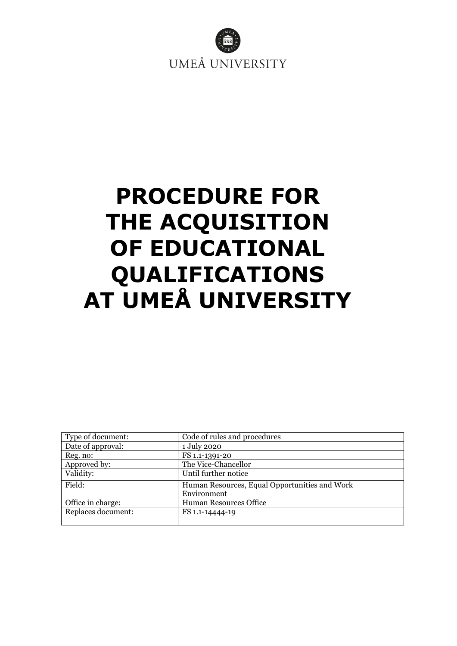

# **PROCEDURE FOR THE ACQUISITION OF EDUCATIONAL QUALIFICATIONS AT UMEÅ UNIVERSITY**

| Type of document:  | Code of rules and procedures                  |
|--------------------|-----------------------------------------------|
| Date of approval:  | 1 July 2020                                   |
| Reg. no:           | FS 1.1-1391-20                                |
| Approved by:       | The Vice-Chancellor                           |
| Validity:          | Until further notice                          |
| Field:             | Human Resources, Equal Opportunities and Work |
|                    | Environment                                   |
| Office in charge:  | <b>Human Resources Office</b>                 |
| Replaces document: | FS 1.1-14444-19                               |
|                    |                                               |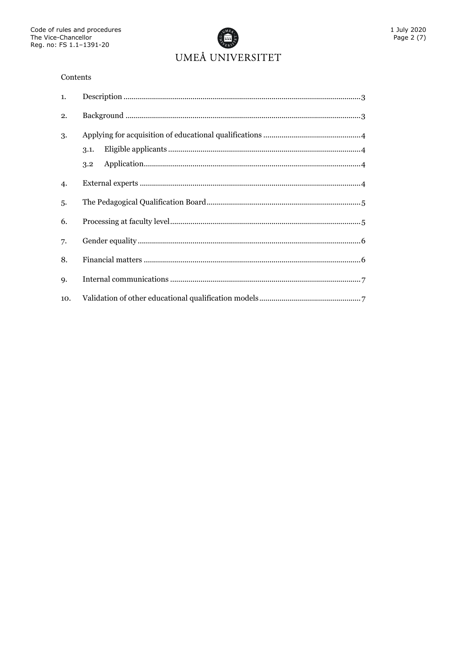

#### Contents

| 1.        |             |
|-----------|-------------|
| 2.        |             |
| 3.        | 3.1.<br>3.2 |
| 4.        |             |
| 5.        |             |
| 6.        |             |
| 7.        |             |
| 8.        |             |
| <b>9.</b> |             |
| 10.       |             |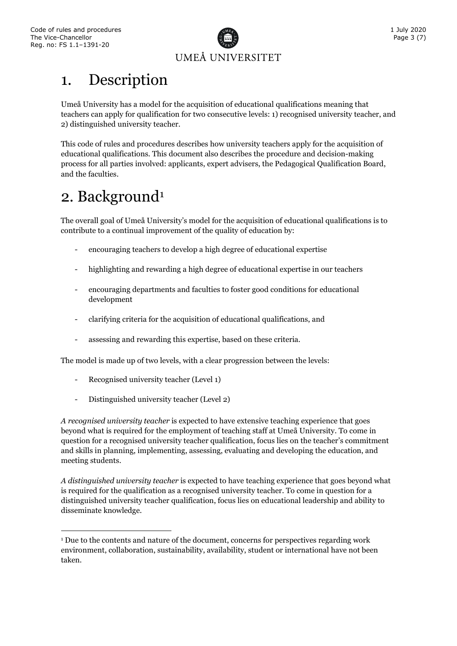-



#### <span id="page-2-0"></span>1. Description

Umeå University has a model for the acquisition of educational qualifications meaning that teachers can apply for qualification for two consecutive levels: 1) recognised university teacher, and 2) distinguished university teacher.

This code of rules and procedures describes how university teachers apply for the acquisition of educational qualifications. This document also describes the procedure and decision-making process for all parties involved: applicants, expert advisers, the Pedagogical Qualification Board, and the faculties.

## <span id="page-2-1"></span>2. Background<sup>[1](#page-2-2)</sup>

The overall goal of Umeå University's model for the acquisition of educational qualifications is to contribute to a continual improvement of the quality of education by:

- encouraging teachers to develop a high degree of educational expertise
- highlighting and rewarding a high degree of educational expertise in our teachers
- encouraging departments and faculties to foster good conditions for educational development
- clarifying criteria for the acquisition of educational qualifications, and
- assessing and rewarding this expertise, based on these criteria.

The model is made up of two levels, with a clear progression between the levels:

- Recognised university teacher (Level 1)
- Distinguished university teacher (Level 2)

*A recognised university teacher* is expected to have extensive teaching experience that goes beyond what is required for the employment of teaching staff at Umeå University. To come in question for a recognised university teacher qualification, focus lies on the teacher's commitment and skills in planning, implementing, assessing, evaluating and developing the education, and meeting students.

*A distinguished university teacher* is expected to have teaching experience that goes beyond what is required for the qualification as a recognised university teacher. To come in question for a distinguished university teacher qualification, focus lies on educational leadership and ability to disseminate knowledge.

<span id="page-2-2"></span><sup>1</sup> Due to the contents and nature of the document, concerns for perspectives regarding work environment, collaboration, sustainability, availability, student or international have not been taken.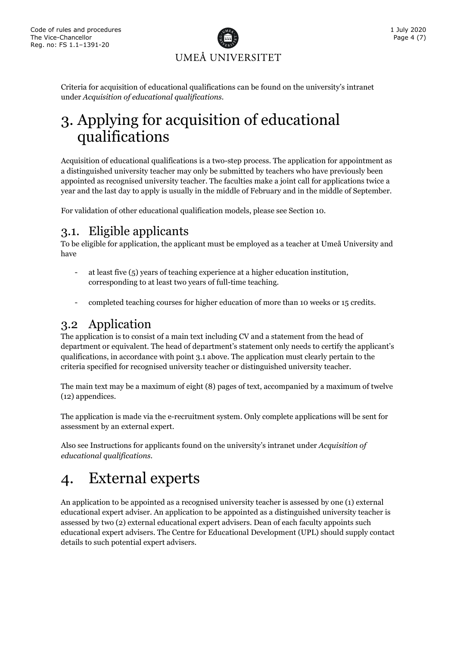

Criteria for acquisition of educational qualifications can be found on the university's intranet under *Acquisition of educational qualifications.*

## <span id="page-3-0"></span>3. Applying for acquisition of educational qualifications

Acquisition of educational qualifications is a two-step process. The application for appointment as a distinguished university teacher may only be submitted by teachers who have previously been appointed as recognised university teacher. The faculties make a joint call for applications twice a year and the last day to apply is usually in the middle of February and in the middle of September.

<span id="page-3-1"></span>For validation of other educational qualification models, please see Section 10.

#### 3.1. Eligible applicants

To be eligible for application, the applicant must be employed as a teacher at Umeå University and have

- at least five (5) years of teaching experience at a higher education institution, corresponding to at least two years of full-time teaching.
- completed teaching courses for higher education of more than 10 weeks or 15 credits.

#### <span id="page-3-2"></span>3.2 Application

The application is to consist of a main text including CV and a statement from the head of department or equivalent. The head of department's statement only needs to certify the applicant's qualifications, in accordance with point 3.1 above. The application must clearly pertain to the criteria specified for recognised university teacher or distinguished university teacher.

The main text may be a maximum of eight (8) pages of text, accompanied by a maximum of twelve (12) appendices.

The application is made via the e-recruitment system. Only complete applications will be sent for assessment by an external expert.

Also see Instructions for applicants found on the university's intranet under *Acquisition of educational qualifications.*

### <span id="page-3-3"></span>4. External experts

An application to be appointed as a recognised university teacher is assessed by one (1) external educational expert adviser. An application to be appointed as a distinguished university teacher is assessed by two (2) external educational expert advisers. Dean of each faculty appoints such educational expert advisers. The Centre for Educational Development (UPL) should supply contact details to such potential expert advisers.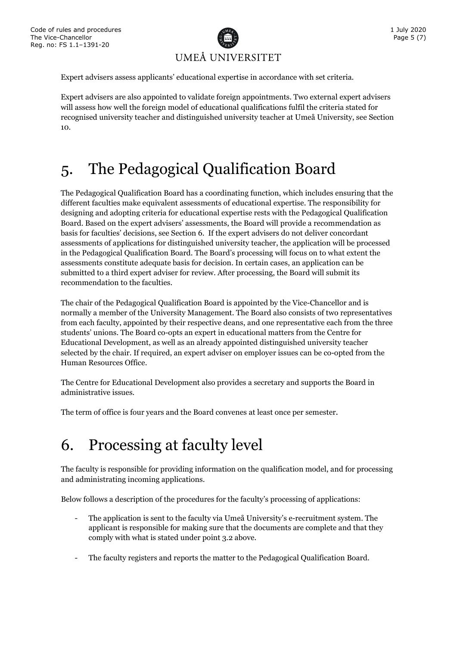

Expert advisers assess applicants' educational expertise in accordance with set criteria.

Expert advisers are also appointed to validate foreign appointments. Two external expert advisers will assess how well the foreign model of educational qualifications fulfil the criteria stated for recognised university teacher and distinguished university teacher at Umeå University, see Section 10.

### <span id="page-4-0"></span>5. The Pedagogical Qualification Board

The Pedagogical Qualification Board has a coordinating function, which includes ensuring that the different faculties make equivalent assessments of educational expertise. The responsibility for designing and adopting criteria for educational expertise rests with the Pedagogical Qualification Board. Based on the expert advisers' assessments, the Board will provide a recommendation as basis for faculties' decisions, see Section 6. If the expert advisers do not deliver concordant assessments of applications for distinguished university teacher, the application will be processed in the Pedagogical Qualification Board. The Board's processing will focus on to what extent the assessments constitute adequate basis for decision. In certain cases, an application can be submitted to a third expert adviser for review. After processing, the Board will submit its recommendation to the faculties.

The chair of the Pedagogical Qualification Board is appointed by the Vice-Chancellor and is normally a member of the University Management. The Board also consists of two representatives from each faculty, appointed by their respective deans, and one representative each from the three students' unions. The Board co-opts an expert in educational matters from the Centre for Educational Development, as well as an already appointed distinguished university teacher selected by the chair. If required, an expert adviser on employer issues can be co-opted from the Human Resources Office.

The Centre for Educational Development also provides a secretary and supports the Board in administrative issues.

The term of office is four years and the Board convenes at least once per semester.

#### <span id="page-4-1"></span>6. Processing at faculty level

The faculty is responsible for providing information on the qualification model, and for processing and administrating incoming applications.

Below follows a description of the procedures for the faculty's processing of applications:

- The application is sent to the faculty via Umeå University's e-recruitment system. The applicant is responsible for making sure that the documents are complete and that they comply with what is stated under point 3.2 above.
- The faculty registers and reports the matter to the Pedagogical Qualification Board.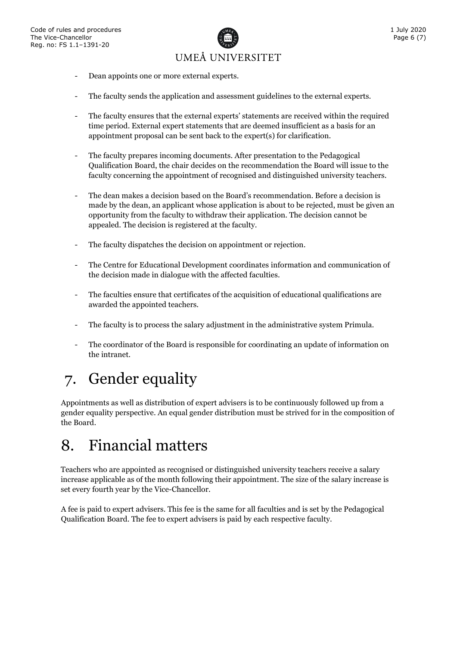

- Dean appoints one or more external experts.
- The faculty sends the application and assessment guidelines to the external experts.
- The faculty ensures that the external experts' statements are received within the required time period. External expert statements that are deemed insufficient as a basis for an appointment proposal can be sent back to the expert(s) for clarification.
- The faculty prepares incoming documents. After presentation to the Pedagogical Qualification Board, the chair decides on the recommendation the Board will issue to the faculty concerning the appointment of recognised and distinguished university teachers.
- The dean makes a decision based on the Board's recommendation. Before a decision is made by the dean, an applicant whose application is about to be rejected, must be given an opportunity from the faculty to withdraw their application. The decision cannot be appealed. The decision is registered at the faculty.
- The faculty dispatches the decision on appointment or rejection.
- The Centre for Educational Development coordinates information and communication of the decision made in dialogue with the affected faculties.
- The faculties ensure that certificates of the acquisition of educational qualifications are awarded the appointed teachers.
- The faculty is to process the salary adjustment in the administrative system Primula.
- The coordinator of the Board is responsible for coordinating an update of information on the intranet.

# <span id="page-5-0"></span>7. Gender equality

Appointments as well as distribution of expert advisers is to be continuously followed up from a gender equality perspective. An equal gender distribution must be strived for in the composition of the Board.

#### <span id="page-5-1"></span>8. Financial matters

Teachers who are appointed as recognised or distinguished university teachers receive a salary increase applicable as of the month following their appointment. The size of the salary increase is set every fourth year by the Vice-Chancellor.

A fee is paid to expert advisers. This fee is the same for all faculties and is set by the Pedagogical Qualification Board. The fee to expert advisers is paid by each respective faculty.